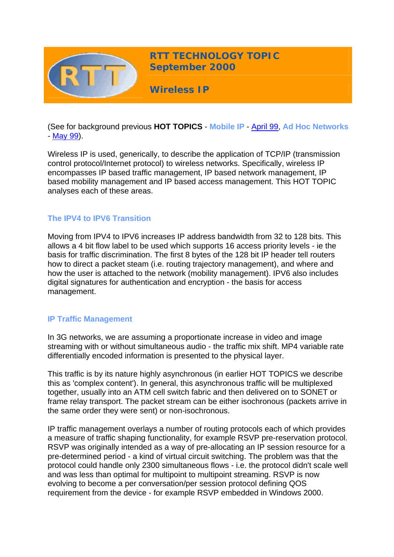

(See for background previous **HOT TOPICS** - **Mobile IP** - [April 99,](http://www.rttonline.com/HotTopics/hottop_apr99.htm) **Ad Hoc Networks** - [May 99\)](http://www.rttonline.com/HotTopics/hottop_may99.htm).

Wireless IP is used, generically, to describe the application of TCP/IP (transmission control protocol/Internet protocol) to wireless networks. Specifically, wireless IP encompasses IP based traffic management, IP based network management, IP based mobility management and IP based access management. This HOT TOPIC analyses each of these areas.

# **The IPV4 to IPV6 Transition**

Moving from IPV4 to IPV6 increases IP address bandwidth from 32 to 128 bits. This allows a 4 bit flow label to be used which supports 16 access priority levels - ie the basis for traffic discrimination. The first 8 bytes of the 128 bit IP header tell routers how to direct a packet steam (i.e. routing trajectory management), and where and how the user is attached to the network (mobility management). IPV6 also includes digital signatures for authentication and encryption - the basis for access management.

## **IP Traffic Management**

In 3G networks, we are assuming a proportionate increase in video and image streaming with or without simultaneous audio - the traffic mix shift. MP4 variable rate differentially encoded information is presented to the physical layer.

This traffic is by its nature highly asynchronous (in earlier HOT TOPICS we describe this as 'complex content'). In general, this asynchronous traffic will be multiplexed together, usually into an ATM cell switch fabric and then delivered on to SONET or frame relay transport. The packet stream can be either isochronous (packets arrive in the same order they were sent) or non-isochronous.

IP traffic management overlays a number of routing protocols each of which provides a measure of traffic shaping functionality, for example RSVP pre-reservation protocol. RSVP was originally intended as a way of pre-allocating an IP session resource for a pre-determined period - a kind of virtual circuit switching. The problem was that the protocol could handle only 2300 simultaneous flows - i.e. the protocol didn't scale well and was less than optimal for multipoint to multipoint streaming. RSVP is now evolving to become a per conversation/per session protocol defining QOS requirement from the device - for example RSVP embedded in Windows 2000.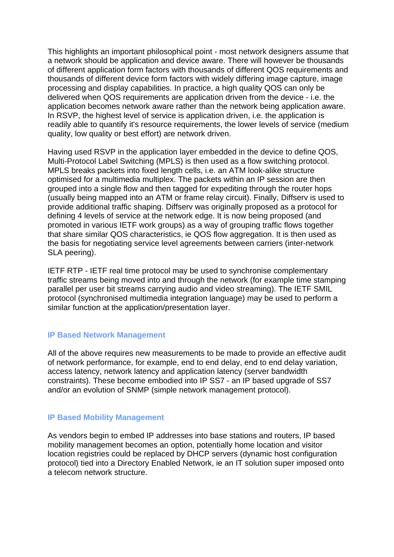This highlights an important philosophical point - most network designers assume that a network should be application and device aware. There will however be thousands of different application form factors with thousands of different QOS requirements and thousands of different device form factors with widely differing image capture, image processing and display capabilities. In practice, a high quality QOS can only be delivered when QOS requirements are application driven from the device - i.e. the application becomes network aware rather than the network being application aware. In RSVP, the highest level of service is application driven, i.e. the application is readily able to quantify it's resource requirements, the lower levels of service (medium quality, low quality or best effort) are network driven.

Having used RSVP in the application layer embedded in the device to define QOS, Multi-Protocol Label Switching (MPLS) is then used as a flow switching protocol. MPLS breaks packets into fixed length cells, i.e. an ATM look-alike structure optimised for a multimedia multiplex. The packets within an IP session are then grouped into a single flow and then tagged for expediting through the router hops (usually being mapped into an ATM or frame relay circuit). Finally, Diffserv is used to provide additional traffic shaping. Diffserv was originally proposed as a protocol for defining 4 levels of service at the network edge. It is now being proposed (and promoted in various IETF work groups) as a way of grouping traffic flows together that share similar QOS characteristics, ie QOS flow aggregation. It is then used as the basis for negotiating service level agreements between carriers (inter-network SLA peering).

IETF RTP - IETF real time protocol may be used to synchronise complementary traffic streams being moved into and through the network (for example time stamping parallel per user bit streams carrying audio and video streaming). The IETF SMIL protocol (synchronised multimedia integration language) may be used to perform a similar function at the application/presentation layer.

## **IP Based Network Management**

All of the above requires new measurements to be made to provide an effective audit of network performance, for example, end to end delay, end to end delay variation, access latency, network latency and application latency (server bandwidth constraints). These become embodied into IP SS7 - an IP based upgrade of SS7 and/or an evolution of SNMP (simple network management protocol).

#### **IP Based Mobility Management**

As vendors begin to embed IP addresses into base stations and routers, IP based mobility management becomes an option, potentially home location and visitor location registries could be replaced by DHCP servers (dynamic host configuration protocol) tied into a Directory Enabled Network, ie an IT solution super imposed onto a telecom network structure.